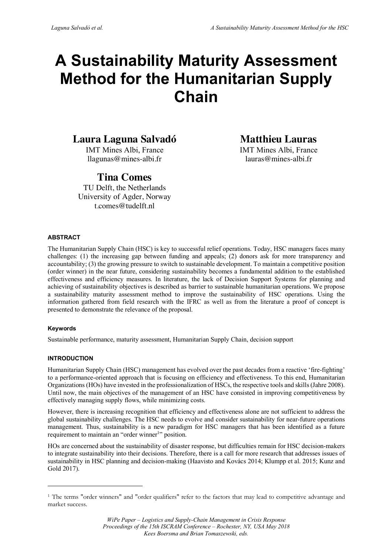# **A Sustainability Maturity Assessment Method for the Humanitarian Supply Chain**

# **Laura Laguna Salvadó**

IMT Mines Albi, France llagunas@mines-albi.fr

# **Tina Comes**

TU Delft, the Netherlands University of Agder, Norway t.comes@tudelft.nl

**Matthieu Lauras**

IMT Mines Albi, France lauras@mines-albi.fr

# **ABSTRACT**

The Humanitarian Supply Chain (HSC) is key to successful relief operations. Today, HSC managers faces many challenges: (1) the increasing gap between funding and appeals; (2) donors ask for more transparency and accountability; (3) the growing pressure to switch to sustainable development. To maintain a competitive position (order winner) in the near future, considering sustainability becomes a fundamental addition to the established effectiveness and efficiency measures. In literature, the lack of Decision Support Systems for planning and achieving of sustainability objectives is described as barrier to sustainable humanitarian operations. We propose a sustainability maturity assessment method to improve the sustainability of HSC operations. Using the information gathered from field research with the IFRC as well as from the literature a proof of concept is presented to demonstrate the relevance of the proposal.

# **Keywords**

 $\overline{a}$ 

Sustainable performance, maturity assessment, Humanitarian Supply Chain, decision support

# **INTRODUCTION**

Humanitarian Supply Chain (HSC) management has evolved over the past decades from a reactive 'fire-fighting' to a performance-oriented approach that is focusing on efficiency and effectiveness. To this end, Humanitarian Organizations (HOs) have invested in the professionalization of HSCs, the respective tools and skills (Jahre 2008). Until now, the main objectives of the management of an HSC have consisted in improving competitiveness by effectively managing supply flows, while minimizing costs.

However, there is increasing recognition that efficiency and effectiveness alone are not sufficient to address the global sustainability challenges. The HSC needs to evolve and consider sustainability for near-future operations management. Thus, sustainability is a new paradigm for HSC managers that has been identified as a future requirement to maintain an "order winner<sup>1</sup>" position.

HOs are concerned about the sustainability of disaster response, but difficulties remain for HSC decision-makers to integrate sustainability into their decisions. Therefore, there is a call for more research that addresses issues of sustainability in HSC planning and decision-making (Haavisto and Kovács 2014; Klumpp et al. 2015; Kunz and Gold 2017).

<sup>1</sup> The terms "order winners" and "order qualifiers" refer to the factors that may lead to competitive advantage and market success.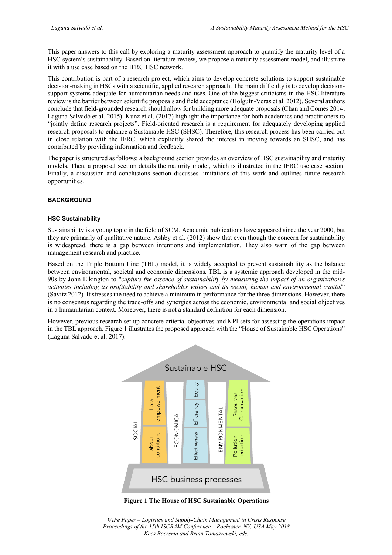This paper answers to this call by exploring a maturity assessment approach to quantify the maturity level of a HSC system's sustainability. Based on literature review, we propose a maturity assessment model, and illustrate it with a use case based on the IFRC HSC network.

This contribution is part of a research project, which aims to develop concrete solutions to support sustainable decision-making in HSCs with a scientific, applied research approach. The main difficulty is to develop decisionsupport systems adequate for humanitarian needs and uses. One of the biggest criticisms in the HSC literature review is the barrier between scientific proposals and field acceptance (Holguín-Veras et al. 2012). Several authors conclude that field-grounded research should allow for building more adequate proposals (Chan and Comes 2014; Laguna Salvadó et al. 2015). Kunz et al. (2017) highlight the importance for both academics and practitioners to "jointly define research projects". Field-oriented research is a requirement for adequately developing applied research proposals to enhance a Sustainable HSC (SHSC). Therefore, this research process has been carried out in close relation with the IFRC, which explicitly shared the interest in moving towards an SHSC, and has contributed by providing information and feedback.

The paper is structured as follows: a background section provides an overview of HSC sustainability and maturity models. Then, a proposal section details the maturity model, which is illustrated in the IFRC use case section. Finally, a discussion and conclusions section discusses limitations of this work and outlines future research opportunities.

# **BACKGROUND**

#### **HSC Sustainability**

Sustainability is a young topic in the field of SCM. Academic publications have appeared since the year 2000, but they are primarily of qualitative nature. Ashby et al. (2012) show that even though the concern for sustainability is widespread, there is a gap between intentions and implementation. They also warn of the gap between management research and practice.

Based on the Triple Bottom Line (TBL) model, it is widely accepted to present sustainability as the balance between environmental, societal and economic dimensions. TBL is a systemic approach developed in the mid-90s by John Elkington to "*capture the essence of sustainability by measuring the impact of an organization's activities including its profitability and shareholder values and its social, human and environmental capital*" (Savitz 2012). It stresses the need to achieve a minimum in performance for the three dimensions. However, there is no consensus regarding the trade-offs and synergies across the economic, environmental and social objectives in a humanitarian context. Moreover, there is not a standard definition for each dimension.

However, previous research set up concrete criteria, objectives and KPI sets for assessing the operations impact in the TBL approach. Figure 1 illustrates the proposed approach with the "House of Sustainable HSC Operations" (Laguna Salvadó et al. 2017).



**Figure 1 The House of HSC Sustainable Operations**

*WiPe Paper – Logistics and Supply-Chain Management in Crisis Response Proceedings of the 15th ISCRAM Conference – Rochester, NY, USA May 2018 Kees Boersma and Brian Tomaszewski, eds.*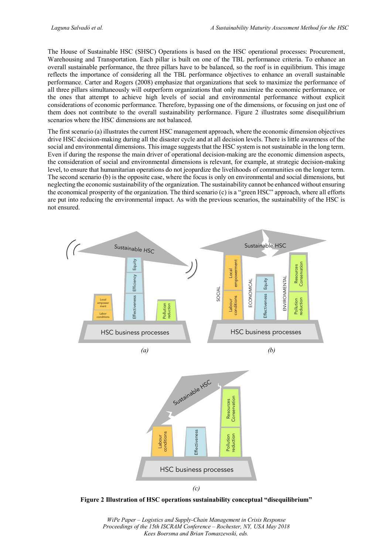The House of Sustainable HSC (SHSC) Operations is based on the HSC operational processes: Procurement, Warehousing and Transportation. Each pillar is built on one of the TBL performance criteria. To enhance an overall sustainable performance, the three pillars have to be balanced, so the roof is in equilibrium. This image reflects the importance of considering all the TBL performance objectives to enhance an overall sustainable performance. Carter and Rogers (2008) emphasize that organizations that seek to maximize the performance of all three pillars simultaneously will outperform organizations that only maximize the economic performance, or the ones that attempt to achieve high levels of social and environmental performance without explicit considerations of economic performance. Therefore, bypassing one of the dimensions, or focusing on just one of them does not contribute to the overall sustainability performance. Figure 2 illustrates some disequilibrium scenarios where the HSC dimensions are not balanced.

The first scenario (a) illustrates the current HSC management approach, where the economic dimension objectives drive HSC decision-making during all the disaster cycle and at all decision levels. There is little awareness of the social and environmental dimensions. This image suggests that the HSC system is not sustainable in the long term. Even if during the response the main driver of operational decision-making are the economic dimension aspects, the consideration of social and environmental dimensions is relevant, for example, at strategic decision-making level, to ensure that humanitarian operations do not jeopardize the livelihoods of communities on the longer term. The second scenario (b) is the opposite case, where the focus is only on environmental and social dimensions, but neglecting the economic sustainability of the organization. The sustainability cannot be enhanced without ensuring the economical prosperity of the organization. The third scenario (c) is a "green HSC" approach, where all efforts are put into reducing the environmental impact. As with the previous scenarios, the sustainability of the HSC is not ensured.



**Figure 2 Illustration of HSC operations sustainability conceptual "disequilibrium"**

*WiPe Paper – Logistics and Supply-Chain Management in Crisis Response Proceedings of the 15th ISCRAM Conference – Rochester, NY, USA May 2018 Kees Boersma and Brian Tomaszewski, eds.*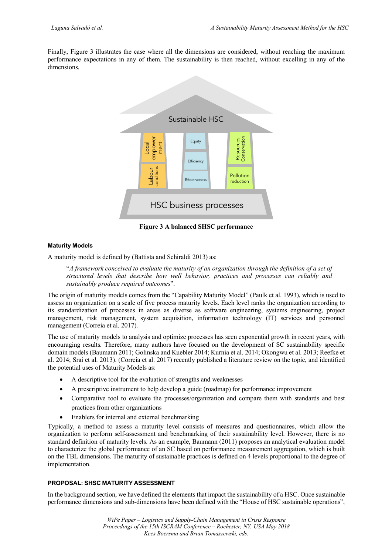Finally, Figure 3 illustrates the case where all the dimensions are considered, without reaching the maximum performance expectations in any of them. The sustainability is then reached, without excelling in any of the dimensions.



**Figure 3 A balanced SHSC performance**

# **Maturity Models**

A maturity model is defined by (Battista and Schiraldi 2013) as:

"*A framework conceived to evaluate the maturity of an organization through the definition of a set of structured levels that describe how well behavior, practices and processes can reliably and sustainably produce required outcomes*".

The origin of maturity models comes from the "Capability Maturity Model" (Paulk et al. 1993), which is used to assess an organization on a scale of five process maturity levels. Each level ranks the organization according to its standardization of processes in areas as diverse as software engineering, systems engineering, project management, risk management, system acquisition, information technology (IT) services and personnel management (Correia et al. 2017).

The use of maturity models to analysis and optimize processes has seen exponential growth in recent years, with encouraging results. Therefore, many authors have focused on the development of SC sustainability specific domain models (Baumann 2011; Golinska and Kuebler 2014; Kurnia et al. 2014; Okongwu et al. 2013; Reefke et al. 2014; Srai et al. 2013). (Correia et al. 2017) recently published a literature review on the topic, and identified the potential uses of Maturity Models as:

- A descriptive tool for the evaluation of strengths and weaknesses
- A prescriptive instrument to help develop a guide (roadmap) for performance improvement
- Comparative tool to evaluate the processes/organization and compare them with standards and best practices from other organizations
- Enablers for internal and external benchmarking

Typically, a method to assess a maturity level consists of measures and questionnaires, which allow the organization to perform self-assessment and benchmarking of their sustainability level. However, there is no standard definition of maturity levels. As an example, Baumann (2011) proposes an analytical evaluation model to characterize the global performance of an SC based on performance measurement aggregation, which is built on the TBL dimensions. The maturity of sustainable practices is defined on 4 levels proportional to the degree of implementation.

# **PROPOSAL: SHSC MATURITY ASSESSMENT**

In the background section, we have defined the elements that impact the sustainability of a HSC. Once sustainable performance dimensions and sub-dimensions have been defined with the "House of HSC sustainable operations",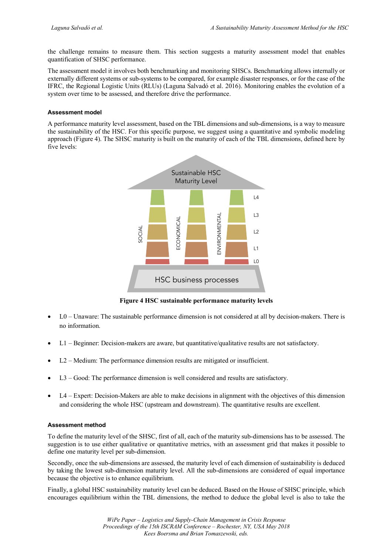the challenge remains to measure them. This section suggests a maturity assessment model that enables quantification of SHSC performance.

The assessment model it involves both benchmarking and monitoring SHSCs. Benchmarking allows internally or externally different systems or sub-systems to be compared, for example disaster responses, or for the case of the IFRC, the Regional Logistic Units (RLUs) (Laguna Salvadó et al. 2016). Monitoring enables the evolution of a system over time to be assessed, and therefore drive the performance.

# **Assessment model**

A performance maturity level assessment, based on the TBL dimensions and sub-dimensions, is a way to measure the sustainability of the HSC. For this specific purpose, we suggest using a quantitative and symbolic modeling approach (Figure 4). The SHSC maturity is built on the maturity of each of the TBL dimensions, defined here by five levels:



**Figure 4 HSC sustainable performance maturity levels**

- L0 Unaware: The sustainable performance dimension is not considered at all by decision-makers. There is no information.
- L1 Beginner: Decision-makers are aware, but quantitative/qualitative results are not satisfactory.
- L2 Medium: The performance dimension results are mitigated or insufficient.
- L3 Good: The performance dimension is well considered and results are satisfactory.
- L4 Expert: Decision-Makers are able to make decisions in alignment with the objectives of this dimension and considering the whole HSC (upstream and downstream). The quantitative results are excellent.

# **Assessment method**

To define the maturity level of the SHSC, first of all, each of the maturity sub-dimensions has to be assessed. The suggestion is to use either qualitative or quantitative metrics, with an assessment grid that makes it possible to define one maturity level per sub-dimension.

Secondly, once the sub-dimensions are assessed, the maturity level of each dimension of sustainability is deduced by taking the lowest sub-dimension maturity level. All the sub-dimensions are considered of equal importance because the objective is to enhance equilibrium.

Finally, a global HSC sustainability maturity level can be deduced. Based on the House of SHSC principle, which encourages equilibrium within the TBL dimensions, the method to deduce the global level is also to take the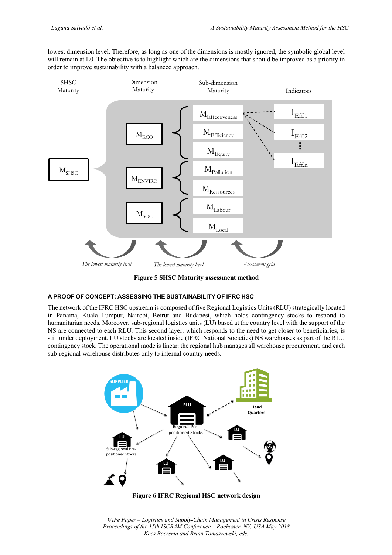lowest dimension level. Therefore, as long as one of the dimensions is mostly ignored, the symbolic global level will remain at L0. The objective is to highlight which are the dimensions that should be improved as a priority in order to improve sustainability with a balanced approach.



**Figure 5 SHSC Maturity assessment method**

# **A PROOF OF CONCEPT: ASSESSING THE SUSTAINABILITY OF IFRC HSC**

The network of the IFRC HSC upstream is composed of five Regional Logistics Units (RLU) strategically located in Panama, Kuala Lumpur, Nairobi, Beirut and Budapest, which holds contingency stocks to respond to humanitarian needs. Moreover, sub-regional logistics units (LU) based at the country level with the support of the NS are connected to each RLU. This second layer, which responds to the need to get closer to beneficiaries, is still under deployment. LU stocks are located inside (IFRC National Societies) NS warehouses as part of the RLU contingency stock. The operational mode is linear: the regional hub manages all warehouse procurement, and each sub-regional warehouse distributes only to internal country needs.



**Figure 6 IFRC Regional HSC network design**

*WiPe Paper – Logistics and Supply-Chain Management in Crisis Response Proceedings of the 15th ISCRAM Conference – Rochester, NY, USA May 2018 Kees Boersma and Brian Tomaszewski, eds.*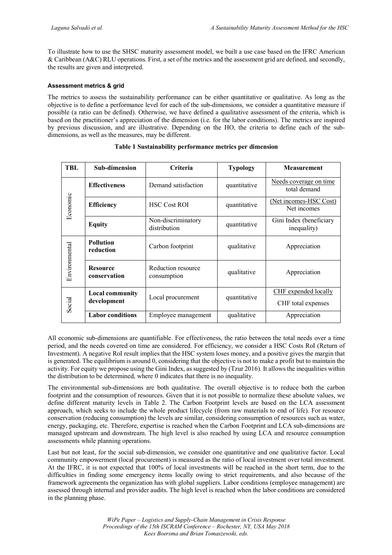To illustrate how to use the SHSC maturity assessment model, we built a use case based on the IFRC American & Caribbean (A&C) RLU operations. First, a set of the metrics and the assessment grid are defined, and secondly, the results are given and interpreted.

# **Assessment metrics & grid**

The metrics to assess the sustainability performance can be either quantitative or qualitative. As long as the objective is to define a performance level for each of the sub-dimensions, we consider a quantitative measure if possible (a ratio can be defined). Otherwise, we have defined a qualitative assessment of the criteria, which is based on the practitioner's appreciation of the dimension (i.e. for the labor conditions). The metrics are inspired by previous discussion, and are illustrative. Depending on the HO, the criteria to define each of the subdimensions, as well as the measures, may be different.

| <b>TBL</b>    | <b>Sub-dimension</b>                  | Criteria<br><b>Typology</b>        |              | <b>Measurement</b>                                |
|---------------|---------------------------------------|------------------------------------|--------------|---------------------------------------------------|
| Economic      | <b>Effectiveness</b>                  | Demand satisfaction                | quantitative | Needs coverage on time<br>total demand            |
|               | <b>Efficiency</b>                     | <b>HSC Cost ROI</b>                | quantitative | (Net incomes-HSC Cost)<br>Net incomes             |
|               | <b>Equity</b>                         | Non-discriminatory<br>distribution | quantitative | Gini Index (beneficiary<br>inequality)            |
| Environmental | <b>Pollution</b><br>reduction         | Carbon footprint                   | qualitative  | Appreciation                                      |
|               | <b>Resource</b><br>conservation       | Reduction resource<br>consumption  | qualitative  | Appreciation                                      |
| Social        | <b>Local community</b><br>development | Local procurement                  | quantitative | <b>CHF</b> expended locally<br>CHF total expenses |
|               | <b>Labor</b> conditions               | Employee management                | qualitative  | Appreciation                                      |

# **Table 1 Sustainability performance metrics per dimension**

All economic sub-dimensions are quantifiable. For effectiveness, the ratio between the total needs over a time period, and the needs covered on time are considered. For efficiency, we consider a HSC Costs RoI (Return of Investment). A negative RoI result implies that the HSC system loses money, and a positive gives the margin that is generated. The equilibrium is around 0, considering that the objective is not to make a profit but to maintain the activity. For equity we propose using the Gini Index, as suggested by (Tzur 2016). It allows the inequalities within the distribution to be determined, where 0 indicates that there is no inequality.

The environmental sub-dimensions are both qualitative. The overall objective is to reduce both the carbon footprint and the consumption of resources. Given that it is not possible to normalize these absolute values, we define different maturity levels in Table 2. The Carbon Footprint levels are based on the LCA assessment approach, which seeks to include the whole product lifecycle (from raw materials to end of life). For resource conservation (reducing consumption) the levels are similar, considering consumption of resources such as water, energy, packaging, etc. Therefore, expertise is reached when the Carbon Footprint and LCA sub-dimensions are managed upstream and downstream. The high level is also reached by using LCA and resource consumption assessments while planning operations.

Last but not least, for the social sub-dimension, we consider one quantitative and one qualitative factor. Local community empowerment (local procurement) is measured as the ratio of local investment over total investment. At the IFRC, it is not expected that 100% of local investments will be reached in the short term, due to the difficulties in finding some emergency items locally owing to strict requirements, and also because of the framework agreements the organization has with global suppliers. Labor conditions (employee management) are assessed through internal and provider audits. The high level is reached when the labor conditions are considered in the planning phase.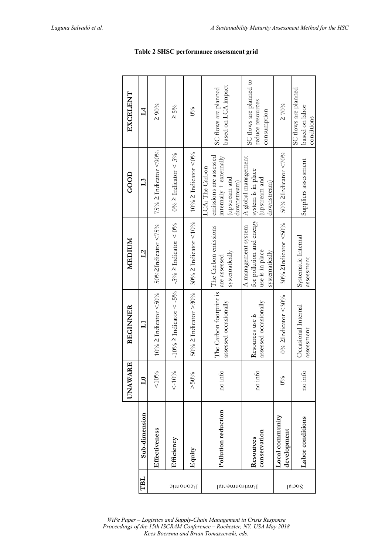|                 |                                | $\mathbf{E}$<br><b>UNAWA</b> | <b>BEGINNER</b>                                  | MEDIUM                                                                               | 600D                                                                                                             | EXCELENT                                                   |
|-----------------|--------------------------------|------------------------------|--------------------------------------------------|--------------------------------------------------------------------------------------|------------------------------------------------------------------------------------------------------------------|------------------------------------------------------------|
| TBL             | Sub-dimension                  | $\mathbf{L}$                 | $\Xi$                                            | $\overline{12}$                                                                      | L <sub>3</sub>                                                                                                   | $\mathcal{I}$                                              |
|                 | Effectiveness                  | $& 10\%$                     | $10\%$ 2 Indicator <50%                          | 50%2Indicator<75%                                                                    | $75\% \geq Indicator < 90\%$                                                                                     | 290%                                                       |
|                 | Efficiency                     | $< -10\%$                    | -10% $\geq$ Indicator $\lt$ -5%                  | -5% $\geq$ Indicator < 0%                                                            | $0\% \geq$ Indicator < 5%                                                                                        | $\geq 5\%$                                                 |
| <b>Economic</b> | Equity                         | $> 50\%$                     | $50\% \geq$ Indicator $>30\%$                    | $30\%$ ≥ Indicator <10%                                                              | $10\%$ ≥ Indicator <0%                                                                                           | $0\%$                                                      |
| Environmental   | Pollution reduction            | no info                      | The Carbon footprint is<br>assessed occasionally | The Carbon emissions<br>systematically<br>are assessed                               | emissions are assessed<br>$\text{interally} + \text{external}$<br>LCA: The Carbon<br>upstream and<br>downstream) | based on LCA impact<br>SC flows are planned                |
|                 | conservation<br>Resources      | no info                      | assessed occasionally<br>Resources use is        | for pollution and energy<br>A management system<br>use is in place<br>systematically | A global management<br>system is in place<br>upstream and<br>downstream)                                         | SC flows are planned to<br>reduce resources<br>consumption |
|                 | Local community<br>development | $0\%$                        | $0\%$ 2Indicator <30%                            | $30\%$ 2Indicator <50%                                                               | 50% $\geq$ Indicator <70%                                                                                        | $\geq 70\%$                                                |
| Social          | Labor conditions               | no info                      | Occasional Internal<br>assessment                | Systematic Internal<br>assessment                                                    | Suppliers assessment                                                                                             | SC flows are planned<br>based on labor<br>conditions       |

*WiPe Paper – Logistics and Supply-Chain Management in Crisis Response Proceedings of the 15th ISCRAM Conference – Rochester, NY, USA May 2018 Kees Boersma and Brian Tomaszewski, eds.*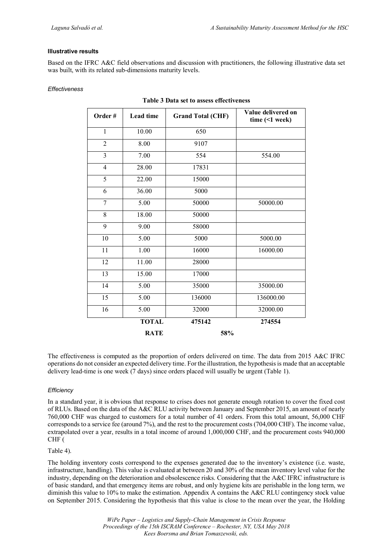# **Illustrative results**

Based on the IFRC A&C field observations and discussion with practitioners, the following illustrative data set was built, with its related sub-dimensions maturity levels.

| Effectiveness |
|---------------|
|---------------|

| Order#          | Lead time    | <b>Grand Total (CHF)</b> | Value delivered on<br>time $($ 1 week) |
|-----------------|--------------|--------------------------|----------------------------------------|
| $\mathbf{1}$    | 10.00        | 650                      |                                        |
| $\overline{2}$  | 8.00         | 9107                     |                                        |
| $\overline{3}$  | 7.00         | 554                      | 554.00                                 |
| $\overline{4}$  | 28.00        | 17831                    |                                        |
| 5               | 22.00        | 15000                    |                                        |
| 6               | 36.00        | 5000                     |                                        |
| $\overline{7}$  | 5.00         | 50000                    | 50000.00                               |
| 8               | 18.00        | 50000                    |                                        |
| 9               | 9.00         | 58000                    |                                        |
| 10              | 5.00         | 5000                     | 5000.00                                |
| 11              | 1.00         | 16000                    | 16000.00                               |
| 12              | 11.00        | 28000                    |                                        |
| 13              | 15.00        | 17000                    |                                        |
| 14              | 5.00         | 35000                    | 35000.00                               |
| $\overline{15}$ | 5.00         | 136000                   | 136000.00                              |
| 16              | 5.00         | 32000                    | 32000.00                               |
|                 | <b>TOTAL</b> | 475142                   | 274554                                 |
|                 | <b>RATE</b>  | 58%                      |                                        |

# **Table 3 Data set to assess effectiveness**

The effectiveness is computed as the proportion of orders delivered on time. The data from 2015 A&C IFRC operations do not consider an expected delivery time. For the illustration, the hypothesis is made that an acceptable delivery lead-time is one week (7 days) since orders placed will usually be urgent (Table 1).

# *Efficiency*

In a standard year, it is obvious that response to crises does not generate enough rotation to cover the fixed cost of RLUs. Based on the data of the A&C RLU activity between January and September 2015, an amount of nearly 760,000 CHF was charged to customers for a total number of 41 orders. From this total amount, 56,000 CHF corresponds to a service fee (around 7%), and the rest to the procurement costs (704,000 CHF). The income value, extrapolated over a year, results in a total income of around 1,000,000 CHF, and the procurement costs 940,000 CHF (

# Table 4).

The holding inventory costs correspond to the expenses generated due to the inventory's existence (i.e. waste, infrastructure, handling). This value is evaluated at between 20 and 30% of the mean inventory level value for the industry, depending on the deterioration and obsolescence risks. Considering that the A&C IFRC infrastructure is of basic standard, and that emergency items are robust, and only hygiene kits are perishable in the long term, we diminish this value to 10% to make the estimation. Appendix A contains the A&C RLU contingency stock value on September 2015. Considering the hypothesis that this value is close to the mean over the year, the Holding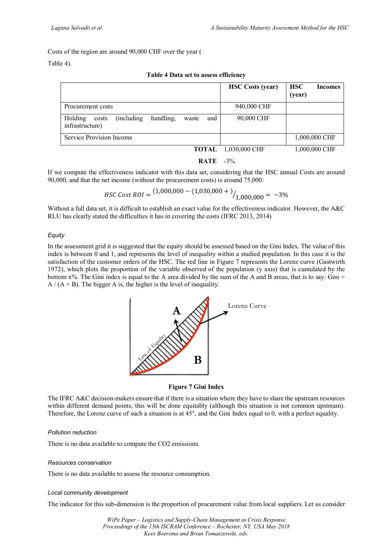Costs of the region are around 90,000 CHF over the year (

# Table 4).

|                                                                                 | <b>HSC</b> Costs (year) | <b>HSC</b><br><b>Incomes</b><br>(year) |
|---------------------------------------------------------------------------------|-------------------------|----------------------------------------|
| Procurement costs                                                               | 940,000 CHF             |                                        |
| Holding<br>handling,<br>(including)<br>and<br>costs<br>waste<br>infrastructure) | 90,000 CHF              |                                        |
| Service Provision Income                                                        |                         | 1,000,000 CHF                          |
| TOTAL                                                                           | 1,030,000 CHF           | 1,000,000 CHF                          |
| <b>RATE</b>                                                                     | $-3\%$                  |                                        |

#### **Table 4 Data set to assess efficiency**

If we compute the effectiveness indicator with this data set, considering that the HSC annual Costs are around 90,000, and that the net income (without the procurement costs) is around 75,000:

$$
HSC Cost ROI = \frac{(1,000,000 - (1,030,000 +))}{1,000,000} = -3\%
$$

Without a full data set, it is difficult to establish an exact value for the effectiveness indicator. However, the A&C RLU has clearly stated the difficulties it has in covering the costs (IFRC 2013, 2014)

# *Equity*

In the assessment grid it is suggested that the equity should be assessed based on the Gini Index. The value of this index is between 0 and 1, and represents the level of inequality within a studied population. In this case it is the satisfaction of the customer orders of the HSC. The red line in Figure 7 represents the Lorenz curve (Gastwirth 1972), which plots the proportion of the variable observed of the population (y axis) that is cumulated by the bottom  $x$ %. The Gini index is equal to the A area divided by the sum of the A and B areas, that is to say: Gini  $=$  $A / (A + B)$ . The bigger A is, the higher is the level of inequality.



# **Figure 7 Gini Index**

The IFRC A&C decision-makers ensure that if there is a situation where they have to share the upstream resources within different demand points, this will be done equitably (although this situation is not common upstream). Therefore, the Lorenz curve of such a situation is at 45°, and the Gini Index equal to 0, with a perfect equality.

# *Pollution reduction*

There is no data available to compute the CO2 emissions.

# *Resources conservation*

There is no data available to assess the resource consumption.

# *Local community development*

The indicator for this sub-dimension is the proportion of procurement value from local suppliers. Let us consider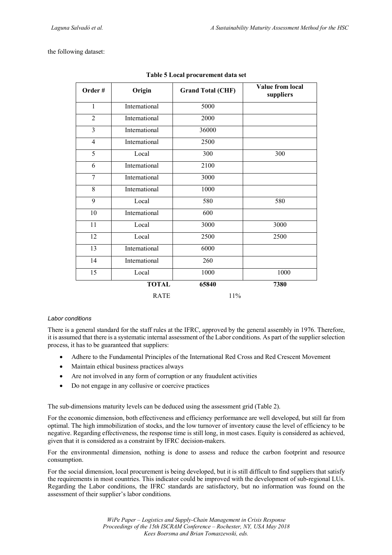the following dataset:

| Order#         | Origin        | <b>Grand Total (CHF)</b> | Value from local<br>suppliers |
|----------------|---------------|--------------------------|-------------------------------|
| 1              | International | 5000                     |                               |
| $\overline{2}$ | International | 2000                     |                               |
| $\overline{3}$ | International | 36000                    |                               |
| $\overline{4}$ | International | 2500                     |                               |
| 5              | Local         | 300                      | 300                           |
| 6              | International | 2100                     |                               |
| $\overline{7}$ | International | 3000                     |                               |
| 8              | International | 1000                     |                               |
| 9              | Local         | 580                      | 580                           |
| 10             | International | 600                      |                               |
| 11             | Local         | 3000                     | 3000                          |
| 12             | Local         | 2500                     | 2500                          |
| 13             | International | 6000                     |                               |
| 14             | International | 260                      |                               |
| 15             | Local         | 1000                     | 1000                          |
|                | <b>TOTAL</b>  | 65840                    | 7380                          |
|                | <b>RATE</b>   | 11%                      |                               |

| Table 5 Local procurement data set |  |
|------------------------------------|--|
|                                    |  |

#### *Labor conditions*

There is a general standard for the staff rules at the IFRC, approved by the general assembly in 1976. Therefore, it is assumed that there is a systematic internal assessment of the Labor conditions. As part of the supplier selection process, it has to be guaranteed that suppliers:

- Adhere to the Fundamental Principles of the International Red Cross and Red Crescent Movement
- Maintain ethical business practices always
- Are not involved in any form of corruption or any fraudulent activities
- Do not engage in any collusive or coercive practices

The sub-dimensions maturity levels can be deduced using the assessment grid (Table 2).

For the economic dimension, both effectiveness and efficiency performance are well developed, but still far from optimal. The high immobilization of stocks, and the low turnover of inventory cause the level of efficiency to be negative. Regarding effectiveness, the response time is still long, in most cases. Equity is considered as achieved, given that it is considered as a constraint by IFRC decision-makers.

For the environmental dimension, nothing is done to assess and reduce the carbon footprint and resource consumption.

For the social dimension, local procurement is being developed, but it is still difficult to find suppliers that satisfy the requirements in most countries. This indicator could be improved with the development of sub-regional LUs. Regarding the Labor conditions, the IFRC standards are satisfactory, but no information was found on the assessment of their supplier's labor conditions.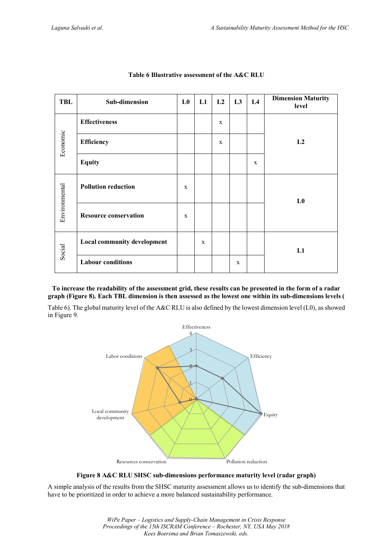| <b>TBL</b>    | Sub-dimension                | L <sub>0</sub> | L1           | L2 | L <sub>3</sub> | L4           | <b>Dimension Maturity</b><br>level |  |
|---------------|------------------------------|----------------|--------------|----|----------------|--------------|------------------------------------|--|
| Economic      | <b>Effectiveness</b>         |                |              | X  |                |              |                                    |  |
|               | Efficiency                   |                |              | X  |                |              | L2                                 |  |
|               | <b>Equity</b>                |                |              |    |                | $\mathbf{X}$ |                                    |  |
| Environmental | <b>Pollution reduction</b>   | X              |              |    |                |              | L <sub>0</sub>                     |  |
|               | <b>Resource conservation</b> | $\mathbf{x}$   |              |    |                |              |                                    |  |
| Social        | Local community development  |                | $\mathbf{x}$ |    |                |              | L1                                 |  |
|               | <b>Labour conditions</b>     |                |              |    | $\mathbf x$    |              |                                    |  |

# **Table 6 Illustrative assessment of the A&C RLU**

# **To increase the readability of the assessment grid, these results can be presented in the form of a radar graph (Figure 8). Each TBL dimension is then assessed as the lowest one within its sub-dimensions levels (**

Table 6). The global maturity level of the A&C RLU is also defined by the lowest dimension level (L0), as showed in Figure 9.



**Figure 8 A&C RLU SHSC sub-dimensions performance maturity level (radar graph)**

A simple analysis of the results from the SHSC maturity assessment allows us to identify the sub-dimensions that have to be prioritized in order to achieve a more balanced sustainability performance.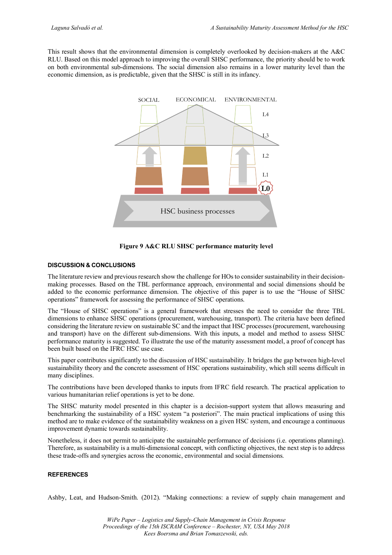This result shows that the environmental dimension is completely overlooked by decision-makers at the A&C RLU. Based on this model approach to improving the overall SHSC performance, the priority should be to work on both environmental sub-dimensions. The social dimension also remains in a lower maturity level than the economic dimension, as is predictable, given that the SHSC is still in its infancy.



**Figure 9 A&C RLU SHSC performance maturity level**

# **DISCUSSION & CONCLUSIONS**

The literature review and previous research show the challenge for HOs to consider sustainability in their decisionmaking processes. Based on the TBL performance approach, environmental and social dimensions should be added to the economic performance dimension. The objective of this paper is to use the "House of SHSC operations" framework for assessing the performance of SHSC operations.

The "House of SHSC operations" is a general framework that stresses the need to consider the three TBL dimensions to enhance SHSC operations (procurement, warehousing, transport). The criteria have been defined considering the literature review on sustainable SC and the impact that HSC processes (procurement, warehousing and transport) have on the different sub-dimensions. With this inputs, a model and method to assess SHSC performance maturity is suggested. To illustrate the use of the maturity assessment model, a proof of concept has been built based on the IFRC HSC use case.

This paper contributes significantly to the discussion of HSC sustainability. It bridges the gap between high-level sustainability theory and the concrete assessment of HSC operations sustainability, which still seems difficult in many disciplines.

The contributions have been developed thanks to inputs from IFRC field research. The practical application to various humanitarian relief operations is yet to be done.

The SHSC maturity model presented in this chapter is a decision-support system that allows measuring and benchmarking the sustainability of a HSC system "a posteriori". The main practical implications of using this method are to make evidence of the sustainability weakness on a given HSC system, and encourage a continuous improvement dynamic towards sustainability.

Nonetheless, it does not permit to anticipate the sustainable performance of decisions (i.e. operations planning). Therefore, as sustainability is a multi-dimensional concept, with conflicting objectives, the next step is to address these trade-offs and synergies across the economic, environmental and social dimensions.

# **REFERENCES**

Ashby, Leat, and Hudson-Smith. (2012). "Making connections: a review of supply chain management and